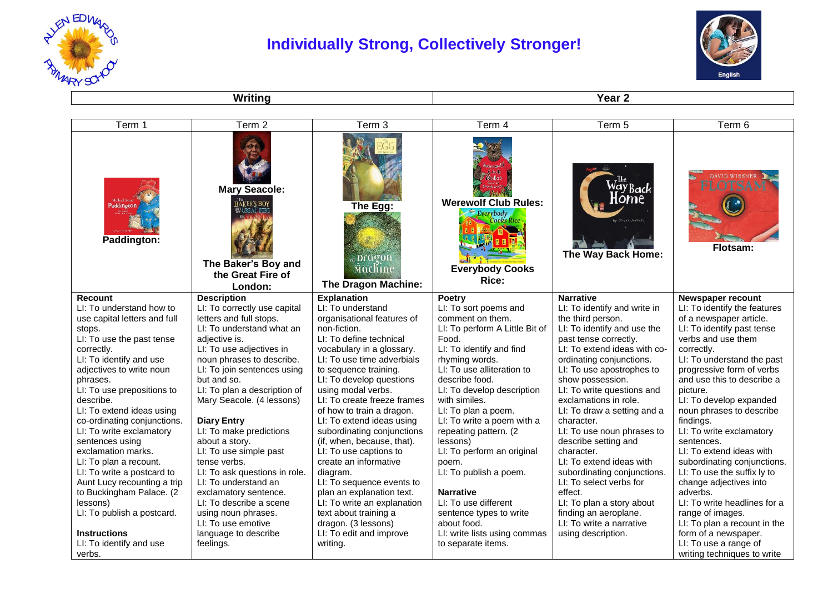

## **Individually Strong, Collectively Stronger!**



**Writing Year 2** 

| Term 1                                     | Term 2                                                                                                                 | Term 3                                                        | Term 4                                                                      | Term 5                                           | Term 6                                            |
|--------------------------------------------|------------------------------------------------------------------------------------------------------------------------|---------------------------------------------------------------|-----------------------------------------------------------------------------|--------------------------------------------------|---------------------------------------------------|
| Paddington<br>Paddington:                  | <b>Mary Seacole:</b><br><b>BAKER'S BOY</b><br><b>CREAT FIRE</b><br>The Baker's Boy and<br>the Great Fire of<br>London: | The Egg:<br>a pragon<br>Machine<br><b>The Dragon Machine:</b> | <b>Werewolf Club Rules:</b><br>Everybody<br><b>Everybody Cooks</b><br>Rice: | Oliver Jeffers<br>The Way Back Home:             | DAVID WIESNER<br><b>Flotsam:</b>                  |
| <b>Recount</b><br>LI: To understand how to | <b>Description</b><br>LI: To correctly use capital                                                                     | <b>Explanation</b><br>LI: To understand                       | Poetry<br>LI: To sort poems and                                             | <b>Narrative</b><br>LI: To identify and write in | Newspaper recount<br>LI: To identify the features |
| use capital letters and full               | letters and full stops.                                                                                                | organisational features of                                    | comment on them.                                                            | the third person.                                | of a newspaper article.                           |
| stops.                                     | LI: To understand what an                                                                                              | non-fiction.                                                  | LI: To perform A Little Bit of                                              | LI: To identify and use the                      | LI: To identify past tense                        |
| LI: To use the past tense                  | adjective is.                                                                                                          | LI: To define technical                                       | Food.                                                                       | past tense correctly.                            | verbs and use them                                |
| correctly.                                 | LI: To use adjectives in                                                                                               | vocabulary in a glossary.                                     | LI: To identify and find                                                    | LI: To extend ideas with co-                     | correctly.                                        |
| LI: To identify and use                    | noun phrases to describe.                                                                                              | LI: To use time adverbials                                    | rhyming words.                                                              | ordinating conjunctions.                         | LI: To understand the past                        |
| adjectives to write noun                   | LI: To join sentences using                                                                                            | to sequence training.                                         | LI: To use alliteration to                                                  | LI: To use apostrophes to                        | progressive form of verbs                         |
| phrases.                                   | but and so.                                                                                                            | LI: To develop questions                                      | describe food.                                                              | show possession.                                 | and use this to describe a                        |
| LI: To use prepositions to                 | LI: To plan a description of                                                                                           | using modal verbs.                                            | LI: To develop description                                                  | LI: To write questions and                       | picture.                                          |
| describe.                                  | Mary Seacole. (4 lessons)                                                                                              | LI: To create freeze frames                                   | with similes.                                                               | exclamations in role.                            | LI: To develop expanded                           |
| LI: To extend ideas using                  |                                                                                                                        | of how to train a dragon.                                     | LI: To plan a poem.                                                         | LI: To draw a setting and a                      | noun phrases to describe                          |
| co-ordinating conjunctions.                | <b>Diary Entry</b>                                                                                                     | LI: To extend ideas using                                     | LI: To write a poem with a                                                  | character.                                       | findings.                                         |
| LI: To write exclamatory                   | LI: To make predictions                                                                                                | subordinating conjunctions                                    | repeating pattern. (2                                                       | LI: To use noun phrases to                       | LI: To write exclamatory                          |
| sentences using                            | about a story.                                                                                                         | (if, when, because, that).                                    | lessons)                                                                    | describe setting and                             | sentences.                                        |
| exclamation marks.                         | LI: To use simple past                                                                                                 | LI: To use captions to                                        | LI: To perform an original                                                  | character.                                       | LI: To extend ideas with                          |
| LI: To plan a recount.                     | tense verbs.                                                                                                           | create an informative                                         | poem.                                                                       | LI: To extend ideas with                         | subordinating conjunctions.                       |
| LI: To write a postcard to                 | LI: To ask questions in role.                                                                                          | diagram.                                                      | LI: To publish a poem.                                                      | subordinating conjunctions.                      | LI: To use the suffix ly to                       |
| Aunt Lucy recounting a trip                | LI: To understand an                                                                                                   | LI: To sequence events to                                     |                                                                             | LI: To select verbs for                          | change adjectives into                            |
| to Buckingham Palace. (2                   | exclamatory sentence.                                                                                                  | plan an explanation text.                                     | <b>Narrative</b>                                                            | effect.                                          | adverbs.                                          |
| lessons)                                   | LI: To describe a scene                                                                                                | LI: To write an explanation                                   | LI: To use different                                                        | LI: To plan a story about                        | LI: To write headlines for a                      |
| LI: To publish a postcard.                 | using noun phrases.                                                                                                    | text about training a                                         | sentence types to write                                                     | finding an aeroplane.                            | range of images.                                  |
|                                            | LI: To use emotive                                                                                                     | dragon. (3 lessons)                                           | about food.                                                                 | LI: To write a narrative                         | LI: To plan a recount in the                      |
| <b>Instructions</b>                        | language to describe                                                                                                   | LI: To edit and improve                                       | LI: write lists using commas                                                | using description.                               | form of a newspaper.                              |
| LI: To identify and use                    | feelings.                                                                                                              | writing.                                                      | to separate items.                                                          |                                                  | LI: To use a range of                             |
| verbs.                                     |                                                                                                                        |                                                               |                                                                             |                                                  | writing techniques to write                       |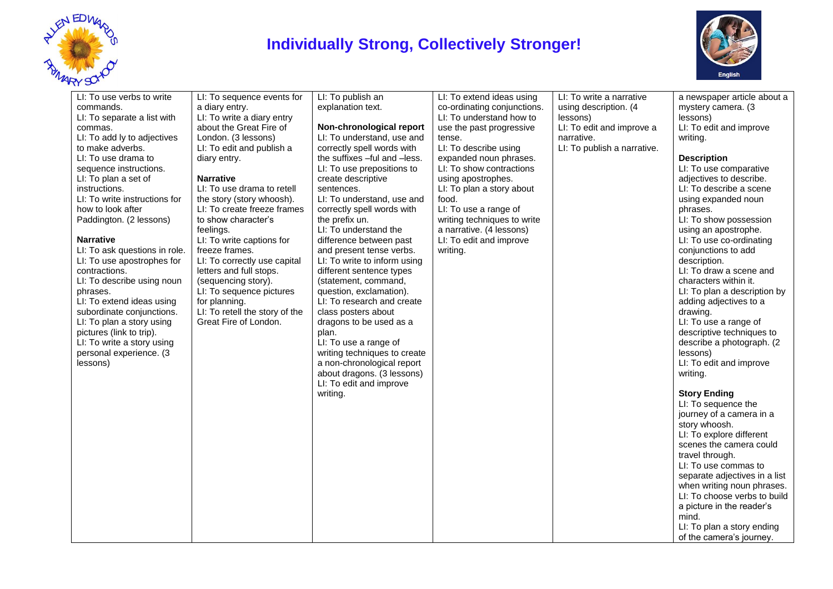

## **Individually Strong, Collectively Stronger!**



| commands.<br>LI: To separate a list with<br>commas.<br>LI: To add ly to adjectives<br>to make adverbs.<br>LI: To use drama to<br>sequence instructions.<br>LI: To plan a set of<br>instructions.<br>LI: To write instructions for<br>how to look after<br>Paddington. (2 lessons)<br><b>Narrative</b><br>LI: To ask questions in role.<br>LI: To use apostrophes for<br>contractions.<br>LI: To describe using noun<br>phrases.<br>LI: To extend ideas using<br>subordinate conjunctions.<br>LI: To plan a story using<br>pictures (link to trip).<br>LI: To write a story using<br>personal experience. (3<br>lessons) | a diary entry.<br>LI: To write a diary entry<br>about the Great Fire of<br>London. (3 lessons)<br>LI: To edit and publish a<br>diary entry.<br><b>Narrative</b><br>LI: To use drama to retell<br>the story (story whoosh).<br>LI: To create freeze frames<br>to show character's<br>feelings.<br>LI: To write captions for<br>freeze frames.<br>LI: To correctly use capital<br>letters and full stops.<br>(sequencing story).<br>LI: To sequence pictures<br>for planning.<br>LI: To retell the story of the<br>Great Fire of London. | explanation text.<br>Non-chronological report<br>LI: To understand, use and<br>correctly spell words with<br>the suffixes -ful and -less.<br>LI: To use prepositions to<br>create descriptive<br>sentences.<br>LI: To understand, use and<br>correctly spell words with<br>the prefix un.<br>LI: To understand the<br>difference between past<br>and present tense verbs.<br>LI: To write to inform using<br>different sentence types<br>(statement, command,<br>question, exclamation).<br>LI: To research and create<br>class posters about<br>dragons to be used as a<br>plan.<br>LI: To use a range of<br>writing techniques to create<br>a non-chronological report<br>about dragons. (3 lessons)<br>LI: To edit and improve<br>writing. | co-ordinating conjunctions.<br>LI: To understand how to<br>use the past progressive<br>tense.<br>LI: To describe using<br>expanded noun phrases.<br>LI: To show contractions<br>using apostrophes.<br>LI: To plan a story about<br>food.<br>LI: To use a range of<br>writing techniques to write<br>a narrative. (4 lessons)<br>LI: To edit and improve<br>writing. | using description. (4<br>lessons)<br>LI: To edit and improve a<br>narrative.<br>LI: To publish a narrative. | mystery camera. (3<br>lessons)<br>LI: To edit and improve<br>writing.<br><b>Description</b><br>LI: To use comparative<br>adjectives to describe.<br>LI: To describe a scene<br>using expanded noun<br>phrases.<br>LI: To show possession<br>using an apostrophe.<br>LI: To use co-ordinating<br>conjunctions to add<br>description.<br>LI: To draw a scene and<br>characters within it.<br>LI: To plan a description by<br>adding adjectives to a<br>drawing.<br>LI: To use a range of<br>descriptive techniques to<br>describe a photograph. (2)<br>lessons)<br>LI: To edit and improve<br>writing.<br><b>Story Ending</b><br>LI: To sequence the<br>journey of a camera in a<br>story whoosh.<br>LI: To explore different<br>scenes the camera could<br>travel through.<br>LI: To use commas to<br>separate adjectives in a list<br>when writing noun phrases.<br>LI: To choose verbs to build<br>a picture in the reader's<br>mind.<br>LI: To plan a story ending<br>of the camera's journey. |
|-------------------------------------------------------------------------------------------------------------------------------------------------------------------------------------------------------------------------------------------------------------------------------------------------------------------------------------------------------------------------------------------------------------------------------------------------------------------------------------------------------------------------------------------------------------------------------------------------------------------------|----------------------------------------------------------------------------------------------------------------------------------------------------------------------------------------------------------------------------------------------------------------------------------------------------------------------------------------------------------------------------------------------------------------------------------------------------------------------------------------------------------------------------------------|-----------------------------------------------------------------------------------------------------------------------------------------------------------------------------------------------------------------------------------------------------------------------------------------------------------------------------------------------------------------------------------------------------------------------------------------------------------------------------------------------------------------------------------------------------------------------------------------------------------------------------------------------------------------------------------------------------------------------------------------------|---------------------------------------------------------------------------------------------------------------------------------------------------------------------------------------------------------------------------------------------------------------------------------------------------------------------------------------------------------------------|-------------------------------------------------------------------------------------------------------------|--------------------------------------------------------------------------------------------------------------------------------------------------------------------------------------------------------------------------------------------------------------------------------------------------------------------------------------------------------------------------------------------------------------------------------------------------------------------------------------------------------------------------------------------------------------------------------------------------------------------------------------------------------------------------------------------------------------------------------------------------------------------------------------------------------------------------------------------------------------------------------------------------------------------------------------------------------------------------------------------------|
|-------------------------------------------------------------------------------------------------------------------------------------------------------------------------------------------------------------------------------------------------------------------------------------------------------------------------------------------------------------------------------------------------------------------------------------------------------------------------------------------------------------------------------------------------------------------------------------------------------------------------|----------------------------------------------------------------------------------------------------------------------------------------------------------------------------------------------------------------------------------------------------------------------------------------------------------------------------------------------------------------------------------------------------------------------------------------------------------------------------------------------------------------------------------------|-----------------------------------------------------------------------------------------------------------------------------------------------------------------------------------------------------------------------------------------------------------------------------------------------------------------------------------------------------------------------------------------------------------------------------------------------------------------------------------------------------------------------------------------------------------------------------------------------------------------------------------------------------------------------------------------------------------------------------------------------|---------------------------------------------------------------------------------------------------------------------------------------------------------------------------------------------------------------------------------------------------------------------------------------------------------------------------------------------------------------------|-------------------------------------------------------------------------------------------------------------|--------------------------------------------------------------------------------------------------------------------------------------------------------------------------------------------------------------------------------------------------------------------------------------------------------------------------------------------------------------------------------------------------------------------------------------------------------------------------------------------------------------------------------------------------------------------------------------------------------------------------------------------------------------------------------------------------------------------------------------------------------------------------------------------------------------------------------------------------------------------------------------------------------------------------------------------------------------------------------------------------|